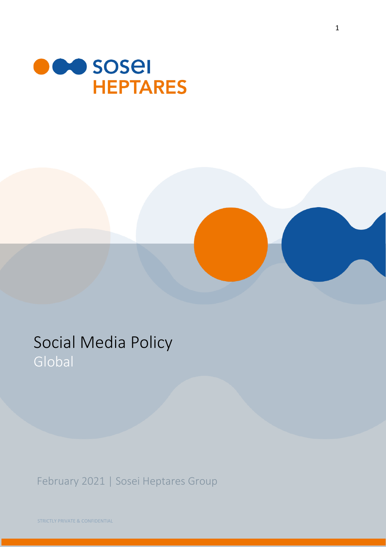



# Social Media Policy Global

February 2021 | Sosei Heptares Group

STRICTLY PRIVATE & CONFIDENTIAL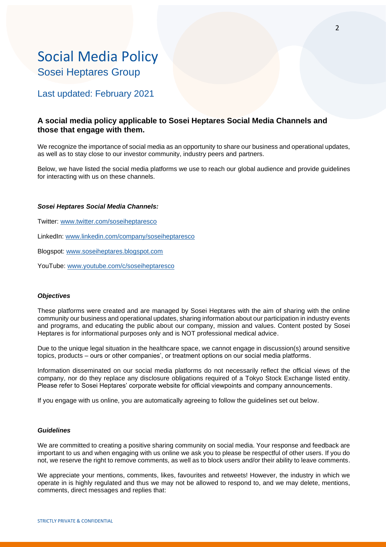# Social Media Policy Sosei Heptares Group

## Last updated: February 2021

### **A social media policy applicable to Sosei Heptares Social Media Channels and those that engage with them.**

We recognize the importance of social media as an opportunity to share our business and operational updates, as well as to stay close to our investor community, industry peers and partners.

Below, we have listed the social media platforms we use to reach our global audience and provide guidelines for interacting with us on these channels.

#### *Sosei Heptares Social Media Channels:*

Twitter: [www.twitter.com/soseiheptaresco](http://www.twitter.com/soseiheptaresco)

LinkedIn: [www.linkedin.com/company/soseiheptaresco](http://www.linkedin.com/company/soseiheptaresco)

Blogspot: [www.soseiheptares.blogspot.com](http://www.soseiheptares.blogspot.com/)

YouTube:<www.youtube.com/c/soseiheptaresco>

#### *Objectives*

These platforms were created and are managed by Sosei Heptares with the aim of sharing with the online community our business and operational updates, sharing information about our participation in industry events and programs, and educating the public about our company, mission and values. Content posted by Sosei Heptares is for informational purposes only and is NOT professional medical advice.

Due to the unique legal situation in the healthcare space, we cannot engage in discussion(s) around sensitive topics, products – ours or other companies', or treatment options on our social media platforms.

Information disseminated on our social media platforms do not necessarily reflect the official views of the company, nor do they replace any disclosure obligations required of a Tokyo Stock Exchange listed entity. Please refer to Sosei Heptares' corporate website for official viewpoints and company announcements.

If you engage with us online, you are automatically agreeing to follow the guidelines set out below.

#### *Guidelines*

We are committed to creating a positive sharing community on social media. Your response and feedback are important to us and when engaging with us online we ask you to please be respectful of other users. If you do not, we reserve the right to remove comments, as well as to block users and/or their ability to leave comments.

We appreciate your mentions, comments, likes, favourites and retweets! However, the industry in which we operate in is highly regulated and thus we may not be allowed to respond to, and we may delete, mentions, comments, direct messages and replies that: